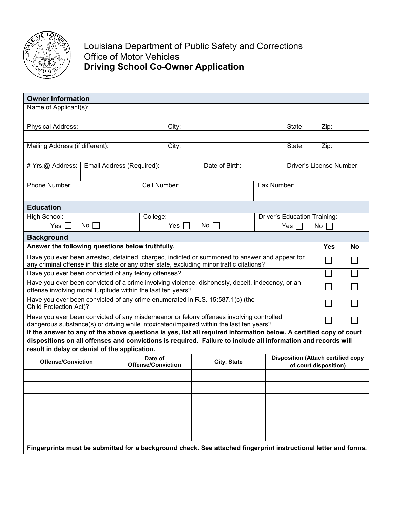

Louisiana Department of Public Safety and Corrections Office of Motor Vehicles **Driving School Co-Owner Application**

| <b>Owner Information</b>                                                                                                                                                                                      |              |                                      |                       |                                                                                                               |                                                                    |                              |      |    |  |  |
|---------------------------------------------------------------------------------------------------------------------------------------------------------------------------------------------------------------|--------------|--------------------------------------|-----------------------|---------------------------------------------------------------------------------------------------------------|--------------------------------------------------------------------|------------------------------|------|----|--|--|
| Name of Applicant(s):                                                                                                                                                                                         |              |                                      |                       |                                                                                                               |                                                                    |                              |      |    |  |  |
|                                                                                                                                                                                                               |              |                                      |                       |                                                                                                               |                                                                    |                              |      |    |  |  |
| <b>Physical Address:</b>                                                                                                                                                                                      |              |                                      |                       | City:                                                                                                         |                                                                    |                              | Zip: |    |  |  |
| State:                                                                                                                                                                                                        |              |                                      |                       |                                                                                                               |                                                                    |                              |      |    |  |  |
| Mailing Address (if different):                                                                                                                                                                               |              |                                      |                       | City:                                                                                                         |                                                                    |                              | Zip: |    |  |  |
|                                                                                                                                                                                                               |              |                                      |                       |                                                                                                               |                                                                    |                              |      |    |  |  |
| # Yrs.@ Address:<br>Email Address (Required):                                                                                                                                                                 |              |                                      | Date of Birth:        |                                                                                                               |                                                                    | Driver's License Number:     |      |    |  |  |
|                                                                                                                                                                                                               |              |                                      |                       |                                                                                                               |                                                                    |                              |      |    |  |  |
| Phone Number:                                                                                                                                                                                                 |              |                                      | Cell Number:          |                                                                                                               | Fax Number:                                                        |                              |      |    |  |  |
|                                                                                                                                                                                                               |              |                                      |                       |                                                                                                               |                                                                    |                              |      |    |  |  |
| <b>Education</b>                                                                                                                                                                                              |              |                                      |                       |                                                                                                               |                                                                    |                              |      |    |  |  |
| High School:                                                                                                                                                                                                  |              |                                      | College:              |                                                                                                               |                                                                    | Driver's Education Training: |      |    |  |  |
| Yes $\vert \ \vert$                                                                                                                                                                                           | $No$         |                                      | Yes $\lceil \ \rceil$ | $No$                                                                                                          |                                                                    | No<br>Yes I                  |      |    |  |  |
| <b>Background</b>                                                                                                                                                                                             |              |                                      |                       |                                                                                                               |                                                                    |                              |      |    |  |  |
| Answer the following questions below truthfully.                                                                                                                                                              |              |                                      |                       |                                                                                                               |                                                                    |                              |      | No |  |  |
| Have you ever been arrested, detained, charged, indicted or summoned to answer and appear for<br>any criminal offense in this state or any other state, excluding minor traffic citations?                    |              |                                      |                       |                                                                                                               |                                                                    |                              |      |    |  |  |
| Have you ever been convicted of any felony offenses?                                                                                                                                                          |              |                                      |                       |                                                                                                               |                                                                    |                              |      |    |  |  |
| Have you ever been convicted of a crime involving violence, dishonesty, deceit, indecency, or an                                                                                                              | $\mathsf{L}$ |                                      |                       |                                                                                                               |                                                                    |                              |      |    |  |  |
| offense involving moral turpitude within the last ten years?                                                                                                                                                  |              |                                      |                       |                                                                                                               |                                                                    |                              |      |    |  |  |
| Have you ever been convicted of any crime enumerated in R.S. 15:587.1(c) (the<br><b>Child Protection Act)?</b>                                                                                                |              |                                      |                       |                                                                                                               |                                                                    |                              |      |    |  |  |
| Have you ever been convicted of any misdemeanor or felony offenses involving controlled                                                                                                                       |              |                                      |                       |                                                                                                               |                                                                    |                              |      |    |  |  |
| dangerous substance(s) or driving while intoxicated/impaired within the last ten years?<br>If the answer to any of the above questions is yes, list all required information below. A certified copy of court |              |                                      |                       |                                                                                                               |                                                                    |                              |      |    |  |  |
|                                                                                                                                                                                                               |              |                                      |                       | dispositions on all offenses and convictions is required. Failure to include all information and records will |                                                                    |                              |      |    |  |  |
| result in delay or denial of the application.                                                                                                                                                                 |              |                                      |                       |                                                                                                               |                                                                    |                              |      |    |  |  |
| <b>Offense/Conviction</b>                                                                                                                                                                                     |              | Date of<br><b>Offense/Conviction</b> |                       | City, State                                                                                                   | <b>Disposition (Attach certified copy</b><br>of court disposition) |                              |      |    |  |  |
|                                                                                                                                                                                                               |              |                                      |                       |                                                                                                               |                                                                    |                              |      |    |  |  |
|                                                                                                                                                                                                               |              |                                      |                       |                                                                                                               |                                                                    |                              |      |    |  |  |
|                                                                                                                                                                                                               |              |                                      |                       |                                                                                                               |                                                                    |                              |      |    |  |  |
|                                                                                                                                                                                                               |              |                                      |                       |                                                                                                               |                                                                    |                              |      |    |  |  |
|                                                                                                                                                                                                               |              |                                      |                       |                                                                                                               |                                                                    |                              |      |    |  |  |
|                                                                                                                                                                                                               |              |                                      |                       |                                                                                                               |                                                                    |                              |      |    |  |  |
|                                                                                                                                                                                                               |              |                                      |                       |                                                                                                               |                                                                    |                              |      |    |  |  |
| Fingerprints must be submitted for a background check. See attached fingerprint instructional letter and forms.                                                                                               |              |                                      |                       |                                                                                                               |                                                                    |                              |      |    |  |  |